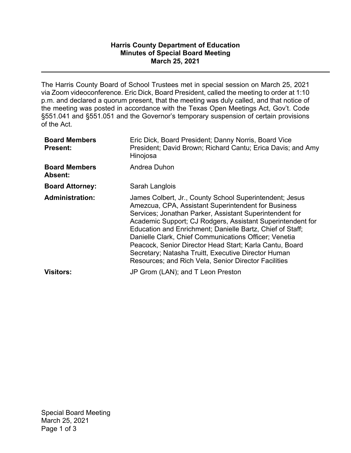## **Harris County Department of Education Minutes of Special Board Meeting March 25, 2021**

The Harris County Board of School Trustees met in special session on March 25, 2021 via Zoom videoconference. Eric Dick, Board President, called the meeting to order at 1:10 p.m. and declared a quorum present, that the meeting was duly called, and that notice of the meeting was posted in accordance with the Texas Open Meetings Act, Gov't. Code §551.041 and §551.051 and the Governor's temporary suspension of certain provisions of the Act.

| <b>Board Members</b><br><b>Present:</b> | Eric Dick, Board President; Danny Norris, Board Vice<br>President; David Brown; Richard Cantu; Erica Davis; and Amy<br>Hinojosa                                                                                                                                                                                                                                                                                                                                                                                                                |
|-----------------------------------------|------------------------------------------------------------------------------------------------------------------------------------------------------------------------------------------------------------------------------------------------------------------------------------------------------------------------------------------------------------------------------------------------------------------------------------------------------------------------------------------------------------------------------------------------|
| <b>Board Members</b><br><b>Absent:</b>  | Andrea Duhon                                                                                                                                                                                                                                                                                                                                                                                                                                                                                                                                   |
| <b>Board Attorney:</b>                  | Sarah Langlois                                                                                                                                                                                                                                                                                                                                                                                                                                                                                                                                 |
| <b>Administration:</b>                  | James Colbert, Jr., County School Superintendent; Jesus<br>Amezcua, CPA, Assistant Superintendent for Business<br>Services; Jonathan Parker, Assistant Superintendent for<br>Academic Support; CJ Rodgers, Assistant Superintendent for<br>Education and Enrichment; Danielle Bartz, Chief of Staff;<br>Danielle Clark, Chief Communications Officer; Venetia<br>Peacock, Senior Director Head Start; Karla Cantu, Board<br>Secretary; Natasha Truitt, Executive Director Human<br><b>Resources; and Rich Vela, Senior Director Facilities</b> |
| <b>Visitors:</b>                        | JP Grom (LAN); and T Leon Preston                                                                                                                                                                                                                                                                                                                                                                                                                                                                                                              |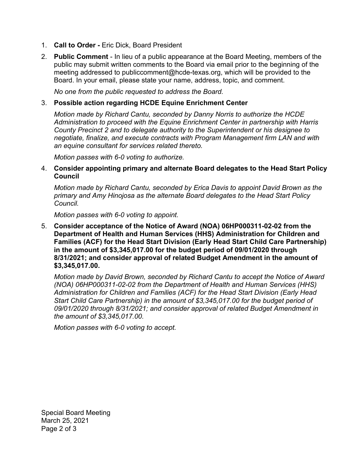- 1. **Call to Order -** Eric Dick, Board President
- 2. **Public Comment** In lieu of a public appearance at the Board Meeting, members of the public may submit written comments to the Board via email prior to the beginning of the meeting addressed to [publiccomment@hcde-texas.org](mailto:publiccomment@hcde-texas.org), which will be provided to the Board. In your email, please state your name, address, topic, and comment.

*No one from the public requested to address the Board.* 

## 3. **Possible action regarding HCDE Equine Enrichment Center**

*Motion made by Richard Cantu, seconded by Danny Norris to authorize the HCDE Administration to proceed with the Equine Enrichment Center in partnership with Harris County Precinct 2 and to delegate authority to the Superintendent or his designee to negotiate, finalize, and execute contracts with Program Management firm LAN and with an equine consultant for services related thereto.* 

*Motion passes with 6-0 voting to authorize.* 

4. **Consider appointing primary and alternate Board delegates to the Head Start Policy Council** 

*Motion made by Richard Cantu, seconded by Erica Davis to appoint David Brown as the primary and Amy Hinojosa as the alternate Board delegates to the Head Start Policy Council.* 

*Motion passes with 6-0 voting to appoint.* 

5. **Consider acceptance of the Notice of Award (NOA) 06HP000311-02-02 from the Department of Health and Human Services (HHS) Administration for Children and Families (ACF) for the Head Start Division (Early Head Start Child Care Partnership) in the amount of \$[3,345,017.00](https://3,345,017.00) for the budget period of 09/01/2020 through 8/31/2021; and consider approval of related Budget Amendment in the amount of \$[3,345,017.00.](https://3,345,017.00)** 

*Motion made by David Brown, seconded by Richard Cantu to accept the Notice of Award (NOA) 06HP000311-02-02 from the Department of Health and Human Services (HHS) Administration for Children and Families (ACF) for the Head Start Division (Early Head Start Child Care Partnership) in the amount of \$[3,345,017.00](https://3,345,017.00) for the budget period of 09/01/2020 through 8/31/2021; and consider approval of related Budget Amendment in the amount of \$[3,345,017.00.](https://3,345,017.00)* 

*Motion passes with 6-0 voting to accept.*